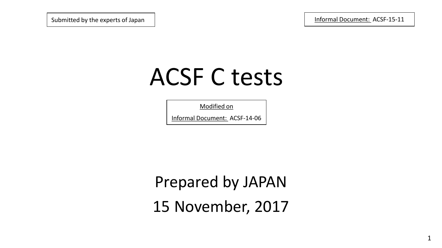Submitted by the experts of Japan Informal Document: ACSF-15-11

# ACSF C tests

Modified on

Informal Document: ACSF-14-06

Prepared by JAPAN 15 November, 2017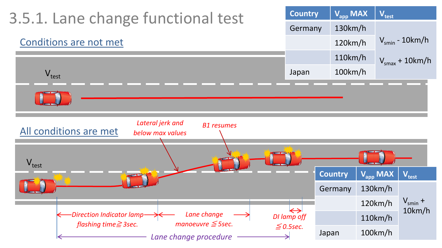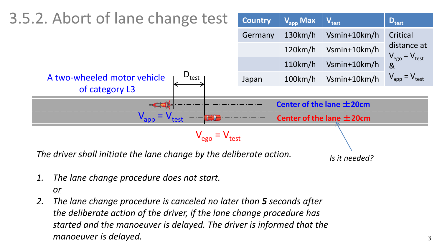

*1. The lane change procedure does not start.*

#### *or*

*2. The lane change procedure is canceled no later than 5 seconds after the deliberate action of the driver, if the lane change procedure has started and the manoeuver is delayed. The driver is informed that the manoeuver is delayed.*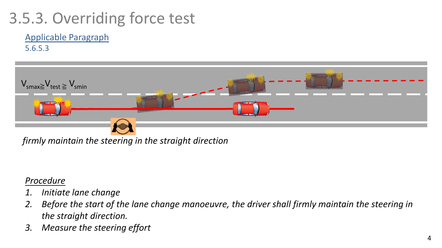# 3.5.3. Overriding force test

# Applicable Paragraph

5.6.5.3



*firmly maintain the steering in the straight direction*

### *Procedure*

- *1. Initiate lane change*
- *2. Before the start of the lane change manoeuvre, the driver shall firmly maintain the steering in the straight direction.*
- *3. Measure the steering effort*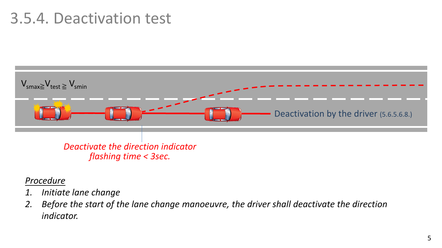# 3.5.4. Deactivation test



- *Procedure*
- *1. Initiate lane change*
- *2. Before the start of the lane change manoeuvre, the driver shall deactivate the direction indicator.*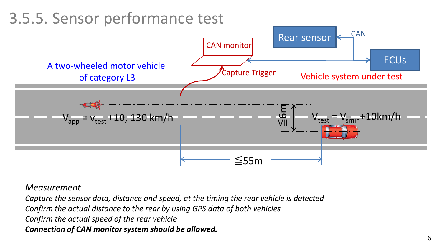## 3.5.5. Sensor performance test ≦55m ≦6m Rear sensor **ECU<sub>s</sub> CAN** CAN monitor Capture Trigger Vehicle system under test  $V_{\text{apo}} = V_{\text{test}} + 10, 130 \text{ km/h}$   $V_{\text{test}}$  $= V_{smin} + 10km/h$ A two-wheeled motor vehicle of category L3

### *Measurement*

*Capture the sensor data, distance and speed, at the timing the rear vehicle is detected Confirm the actual distance to the rear by using GPS data of both vehicles Confirm the actual speed of the rear vehicle Connection of CAN monitor system should be allowed.*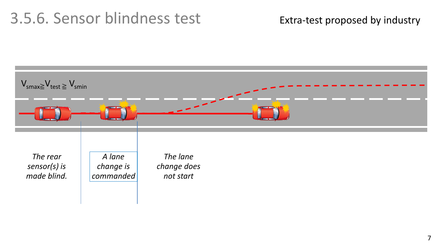# 3.5.6. Sensor blindness test

### Extra-test proposed by industry

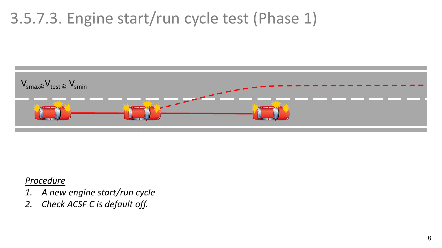# 3.5.7.3. Engine start/run cycle test (Phase 1)



#### *Procedure*

- *1. A new engine start/run cycle*
- *2. Check ACSF C is default off.*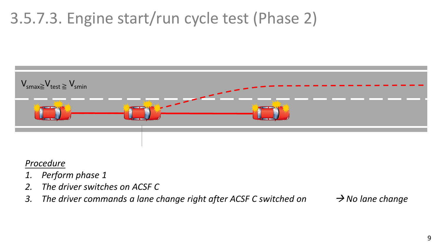# 3.5.7.3. Engine start/run cycle test (Phase 2)



#### *Procedure*

- *1. Perform phase 1*
- *2. The driver switches on ACSF C*
- *3. The driver commands a lane change right after ACSF C switched on*  $\rightarrow$  No lane change